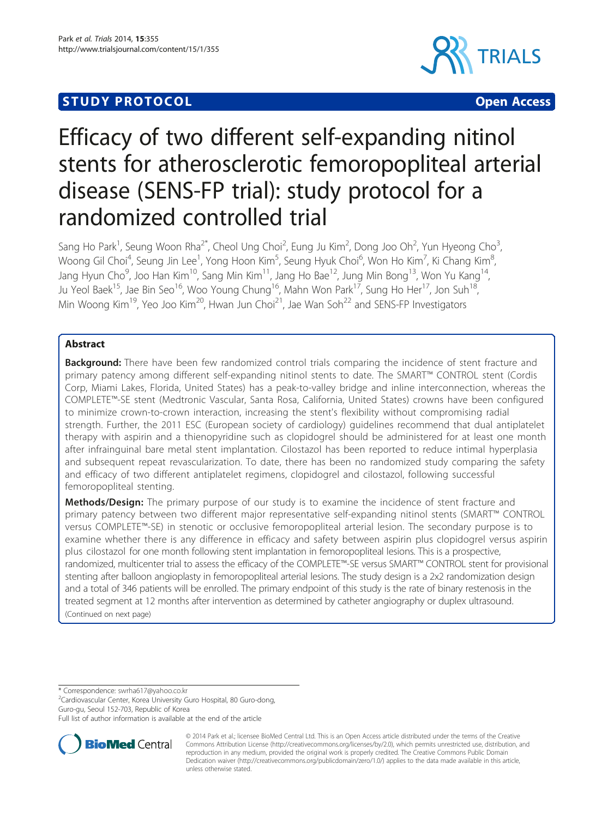## **STUDY PROTOCOL CONSUMING THE CONSUMING OPEN ACCESS**



# Efficacy of two different self-expanding nitinol stents for atherosclerotic femoropopliteal arterial disease (SENS-FP trial): study protocol for a randomized controlled trial

Sang Ho Park<sup>1</sup>, Seung Woon Rha<sup>2\*</sup>, Cheol Ung Choi<sup>2</sup>, Eung Ju Kim<sup>2</sup>, Dong Joo Oh<sup>2</sup>, Yun Hyeong Cho<sup>3</sup> , Woong Gil Choi<sup>4</sup>, Seung Jin Lee<sup>1</sup>, Yong Hoon Kim<sup>5</sup>, Seung Hyuk Choi<sup>6</sup>, Won Ho Kim<sup>7</sup>, Ki Chang Kim<sup>8</sup> , Jang Hyun Cho<sup>9</sup>, Joo Han Kim<sup>10</sup>, Sang Min Kim<sup>11</sup>, Jang Ho Bae<sup>12</sup>, Jung Min Bong<sup>13</sup>, Won Yu Kang<sup>14</sup>, Ju Yeol Baek<sup>15</sup>, Jae Bin Seo<sup>16</sup>, Woo Young Chung<sup>16</sup>, Mahn Won Park<sup>17</sup>, Sung Ho Her<sup>17</sup>, Jon Suh<sup>18</sup>, Min Woong Kim<sup>19</sup>, Yeo Joo Kim<sup>20</sup>, Hwan Jun Choi<sup>21</sup>, Jae Wan Soh<sup>22</sup> and SENS-FP Investigators

## Abstract

**Background:** There have been few randomized control trials comparing the incidence of stent fracture and primary patency among different self-expanding nitinol stents to date. The SMART™ CONTROL stent (Cordis Corp, Miami Lakes, Florida, United States) has a peak-to-valley bridge and inline interconnection, whereas the COMPLETE™-SE stent (Medtronic Vascular, Santa Rosa, California, United States) crowns have been configured to minimize crown-to-crown interaction, increasing the stent's flexibility without compromising radial strength. Further, the 2011 ESC (European society of cardiology) guidelines recommend that dual antiplatelet therapy with aspirin and a thienopyridine such as clopidogrel should be administered for at least one month after infrainguinal bare metal stent implantation. Cilostazol has been reported to reduce intimal hyperplasia and subsequent repeat revascularization. To date, there has been no randomized study comparing the safety and efficacy of two different antiplatelet regimens, clopidogrel and cilostazol, following successful femoropopliteal stenting.

**Methods/Design:** The primary purpose of our study is to examine the incidence of stent fracture and primary patency between two different major representative self-expanding nitinol stents (SMART™ CONTROL versus COMPLETE™-SE) in stenotic or occlusive femoropopliteal arterial lesion. The secondary purpose is to examine whether there is any difference in efficacy and safety between aspirin plus clopidogrel versus aspirin plus cilostazol for one month following stent implantation in femoropopliteal lesions. This is a prospective, randomized, multicenter trial to assess the efficacy of the COMPLETE™-SE versus SMART™ CONTROL stent for provisional stenting after balloon angioplasty in femoropopliteal arterial lesions. The study design is a 2x2 randomization design and a total of 346 patients will be enrolled. The primary endpoint of this study is the rate of binary restenosis in the treated segment at 12 months after intervention as determined by catheter angiography or duplex ultrasound. (Continued on next page)

\* Correspondence: [swrha617@yahoo.co.kr](mailto:swrha617@yahoo.co.kr) <sup>2</sup>

<sup>2</sup>Cardiovascular Center, Korea University Guro Hospital, 80 Guro-dong Guro-gu, Seoul 152-703, Republic of Korea

Full list of author information is available at the end of the article



<sup>© 2014</sup> Park et al.; licensee BioMed Central Ltd. This is an Open Access article distributed under the terms of the Creative Commons Attribution License [\(http://creativecommons.org/licenses/by/2.0\)](http://creativecommons.org/licenses/by/2.0), which permits unrestricted use, distribution, and reproduction in any medium, provided the original work is properly credited. The Creative Commons Public Domain Dedication waiver [\(http://creativecommons.org/publicdomain/zero/1.0/](http://creativecommons.org/publicdomain/zero/1.0/)) applies to the data made available in this article, unless otherwise stated.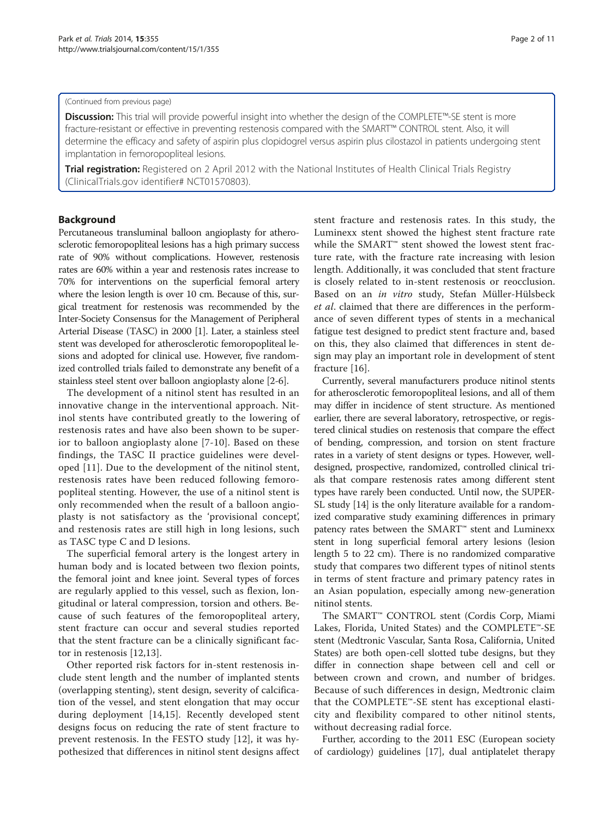#### (Continued from previous page)

Discussion: This trial will provide powerful insight into whether the design of the COMPLETE™-SE stent is more fracture-resistant or effective in preventing restenosis compared with the SMART™ CONTROL stent. Also, it will determine the efficacy and safety of aspirin plus clopidogrel versus aspirin plus cilostazol in patients undergoing stent implantation in femoropopliteal lesions.

Trial registration: Registered on 2 April 2012 with the National Institutes of Health Clinical Trials Registry (ClinicalTrials.gov identifier# [NCT01570803\)](http://clinicaltrials.gov/ct2/results?term=NCT01570803&Search=Search).

## Background

Percutaneous transluminal balloon angioplasty for atherosclerotic femoropopliteal lesions has a high primary success rate of 90% without complications. However, restenosis rates are 60% within a year and restenosis rates increase to 70% for interventions on the superficial femoral artery where the lesion length is over 10 cm. Because of this, surgical treatment for restenosis was recommended by the Inter-Society Consensus for the Management of Peripheral Arterial Disease (TASC) in 2000 [\[1\]](#page-9-0). Later, a stainless steel stent was developed for atherosclerotic femoropopliteal lesions and adopted for clinical use. However, five randomized controlled trials failed to demonstrate any benefit of a stainless steel stent over balloon angioplasty alone [[2-6](#page-9-0)].

The development of a nitinol stent has resulted in an innovative change in the interventional approach. Nitinol stents have contributed greatly to the lowering of restenosis rates and have also been shown to be superior to balloon angioplasty alone [[7-10\]](#page-9-0). Based on these findings, the TASC II practice guidelines were developed [[11\]](#page-9-0). Due to the development of the nitinol stent, restenosis rates have been reduced following femoropopliteal stenting. However, the use of a nitinol stent is only recommended when the result of a balloon angioplasty is not satisfactory as the 'provisional concept', and restenosis rates are still high in long lesions, such as TASC type C and D lesions.

The superficial femoral artery is the longest artery in human body and is located between two flexion points, the femoral joint and knee joint. Several types of forces are regularly applied to this vessel, such as flexion, longitudinal or lateral compression, torsion and others. Because of such features of the femoropopliteal artery, stent fracture can occur and several studies reported that the stent fracture can be a clinically significant factor in restenosis [\[12](#page-9-0),[13](#page-9-0)].

Other reported risk factors for in-stent restenosis include stent length and the number of implanted stents (overlapping stenting), stent design, severity of calcification of the vessel, and stent elongation that may occur during deployment [[14,15](#page-9-0)]. Recently developed stent designs focus on reducing the rate of stent fracture to prevent restenosis. In the FESTO study [[12\]](#page-9-0), it was hypothesized that differences in nitinol stent designs affect stent fracture and restenosis rates. In this study, the Luminexx stent showed the highest stent fracture rate while the SMART™ stent showed the lowest stent fracture rate, with the fracture rate increasing with lesion length. Additionally, it was concluded that stent fracture is closely related to in-stent restenosis or reocclusion. Based on an in vitro study, Stefan Müller-Hülsbeck et al. claimed that there are differences in the performance of seven different types of stents in a mechanical fatigue test designed to predict stent fracture and, based on this, they also claimed that differences in stent design may play an important role in development of stent fracture [\[16](#page-9-0)].

Currently, several manufacturers produce nitinol stents for atherosclerotic femoropopliteal lesions, and all of them may differ in incidence of stent structure. As mentioned earlier, there are several laboratory, retrospective, or registered clinical studies on restenosis that compare the effect of bending, compression, and torsion on stent fracture rates in a variety of stent designs or types. However, welldesigned, prospective, randomized, controlled clinical trials that compare restenosis rates among different stent types have rarely been conducted. Until now, the SUPER-SL study [[14](#page-9-0)] is the only literature available for a randomized comparative study examining differences in primary patency rates between the SMART™ stent and Luminexx stent in long superficial femoral artery lesions (lesion length 5 to 22 cm). There is no randomized comparative study that compares two different types of nitinol stents in terms of stent fracture and primary patency rates in an Asian population, especially among new-generation nitinol stents.

The SMART™ CONTROL stent (Cordis Corp, Miami Lakes, Florida, United States) and the COMPLETE™-SE stent (Medtronic Vascular, Santa Rosa, California, United States) are both open-cell slotted tube designs, but they differ in connection shape between cell and cell or between crown and crown, and number of bridges. Because of such differences in design, Medtronic claim that the COMPLETE™-SE stent has exceptional elasticity and flexibility compared to other nitinol stents, without decreasing radial force.

Further, according to the 2011 ESC (European society of cardiology) guidelines [[17\]](#page-9-0), dual antiplatelet therapy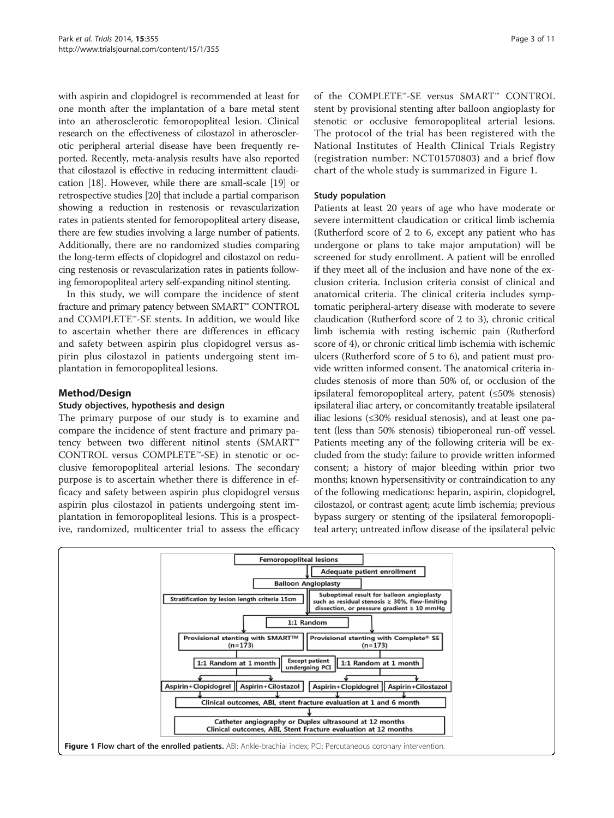with aspirin and clopidogrel is recommended at least for one month after the implantation of a bare metal stent into an atherosclerotic femoropopliteal lesion. Clinical research on the effectiveness of cilostazol in atherosclerotic peripheral arterial disease have been frequently reported. Recently, meta-analysis results have also reported that cilostazol is effective in reducing intermittent claudication [\[18\]](#page-10-0). However, while there are small-scale [\[19\]](#page-10-0) or retrospective studies [[20](#page-10-0)] that include a partial comparison showing a reduction in restenosis or revascularization rates in patients stented for femoropopliteal artery disease, there are few studies involving a large number of patients. Additionally, there are no randomized studies comparing the long-term effects of clopidogrel and cilostazol on reducing restenosis or revascularization rates in patients following femoropopliteal artery self-expanding nitinol stenting.

In this study, we will compare the incidence of stent fracture and primary patency between SMART™ CONTROL and COMPLETE™-SE stents. In addition, we would like to ascertain whether there are differences in efficacy and safety between aspirin plus clopidogrel versus aspirin plus cilostazol in patients undergoing stent implantation in femoropopliteal lesions.

## Method/Design

## Study objectives, hypothesis and design

The primary purpose of our study is to examine and compare the incidence of stent fracture and primary patency between two different nitinol stents (SMART™ CONTROL versus COMPLETE™-SE) in stenotic or occlusive femoropopliteal arterial lesions. The secondary purpose is to ascertain whether there is difference in efficacy and safety between aspirin plus clopidogrel versus aspirin plus cilostazol in patients undergoing stent implantation in femoropopliteal lesions. This is a prospective, randomized, multicenter trial to assess the efficacy of the COMPLETE™-SE versus SMART™ CONTROL stent by provisional stenting after balloon angioplasty for stenotic or occlusive femoropopliteal arterial lesions. The protocol of the trial has been registered with the National Institutes of Health Clinical Trials Registry (registration number: NCT01570803) and a brief flow chart of the whole study is summarized in Figure 1.

## Study population

Patients at least 20 years of age who have moderate or severe intermittent claudication or critical limb ischemia (Rutherford score of 2 to 6, except any patient who has undergone or plans to take major amputation) will be screened for study enrollment. A patient will be enrolled if they meet all of the inclusion and have none of the exclusion criteria. Inclusion criteria consist of clinical and anatomical criteria. The clinical criteria includes symptomatic peripheral-artery disease with moderate to severe claudication (Rutherford score of 2 to 3), chronic critical limb ischemia with resting ischemic pain (Rutherford score of 4), or chronic critical limb ischemia with ischemic ulcers (Rutherford score of 5 to 6), and patient must provide written informed consent. The anatomical criteria includes stenosis of more than 50% of, or occlusion of the ipsilateral femoropopliteal artery, patent (≤50% stenosis) ipsilateral iliac artery, or concomitantly treatable ipsilateral iliac lesions (≤30% residual stenosis), and at least one patent (less than 50% stenosis) tibioperoneal run-off vessel. Patients meeting any of the following criteria will be excluded from the study: failure to provide written informed consent; a history of major bleeding within prior two months; known hypersensitivity or contraindication to any of the following medications: heparin, aspirin, clopidogrel, cilostazol, or contrast agent; acute limb ischemia; previous bypass surgery or stenting of the ipsilateral femoropopliteal artery; untreated inflow disease of the ipsilateral pelvic

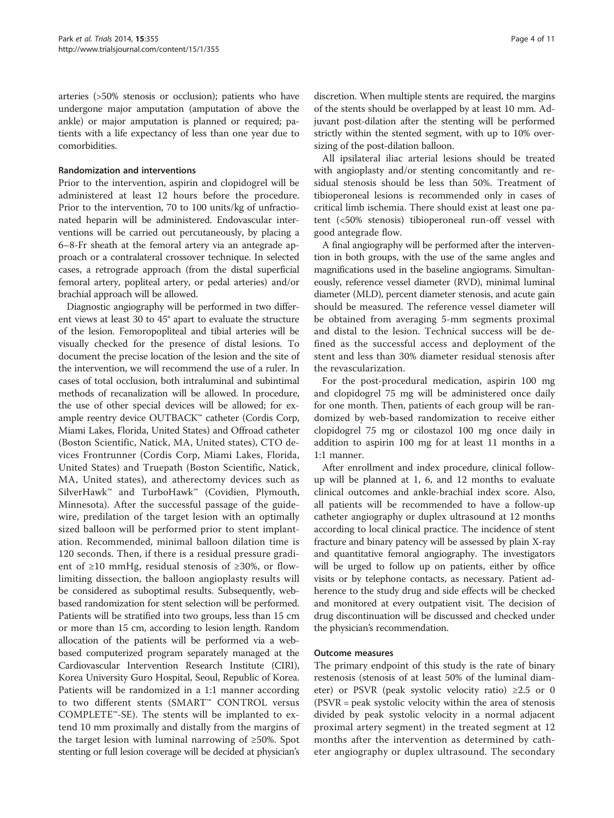arteries (>50% stenosis or occlusion); patients who have undergone major amputation (amputation of above the ankle) or major amputation is planned or required; patients with a life expectancy of less than one year due to comorbidities.

## Randomization and interventions

Prior to the intervention, aspirin and clopidogrel will be administered at least 12 hours before the procedure. Prior to the intervention, 70 to 100 units/kg of unfractionated heparin will be administered. Endovascular interventions will be carried out percutaneously, by placing a 6–8-Fr sheath at the femoral artery via an antegrade approach or a contralateral crossover technique. In selected cases, a retrograde approach (from the distal superficial femoral artery, popliteal artery, or pedal arteries) and/or brachial approach will be allowed.

Diagnostic angiography will be performed in two different views at least 30 to 45° apart to evaluate the structure of the lesion. Femoropopliteal and tibial arteries will be visually checked for the presence of distal lesions. To document the precise location of the lesion and the site of the intervention, we will recommend the use of a ruler. In cases of total occlusion, both intraluminal and subintimal methods of recanalization will be allowed. In procedure, the use of other special devices will be allowed; for example reentry device OUTBACK™ catheter (Cordis Corp, Miami Lakes, Florida, United States) and Offroad catheter (Boston Scientific, Natick, MA, United states), CTO devices Frontrunner (Cordis Corp, Miami Lakes, Florida, United States) and Truepath (Boston Scientific, Natick, MA, United states), and atherectomy devices such as SilverHawk™ and TurboHawk™ (Covidien, Plymouth, Minnesota). After the successful passage of the guidewire, predilation of the target lesion with an optimally sized balloon will be performed prior to stent implantation. Recommended, minimal balloon dilation time is 120 seconds. Then, if there is a residual pressure gradient of ≥10 mmHg, residual stenosis of ≥30%, or flowlimiting dissection, the balloon angioplasty results will be considered as suboptimal results. Subsequently, webbased randomization for stent selection will be performed. Patients will be stratified into two groups, less than 15 cm or more than 15 cm, according to lesion length. Random allocation of the patients will be performed via a webbased computerized program separately managed at the Cardiovascular Intervention Research Institute (CIRI), Korea University Guro Hospital, Seoul, Republic of Korea. Patients will be randomized in a 1:1 manner according to two different stents (SMART™ CONTROL versus COMPLETE™-SE). The stents will be implanted to extend 10 mm proximally and distally from the margins of the target lesion with luminal narrowing of ≥50%. Spot stenting or full lesion coverage will be decided at physician's

discretion. When multiple stents are required, the margins of the stents should be overlapped by at least 10 mm. Adjuvant post-dilation after the stenting will be performed strictly within the stented segment, with up to 10% oversizing of the post-dilation balloon.

All ipsilateral iliac arterial lesions should be treated with angioplasty and/or stenting concomitantly and residual stenosis should be less than 50%. Treatment of tibioperoneal lesions is recommended only in cases of critical limb ischemia. There should exist at least one patent (<50% stenosis) tibioperoneal run-off vessel with good antegrade flow.

A final angiography will be performed after the intervention in both groups, with the use of the same angles and magnifications used in the baseline angiograms. Simultaneously, reference vessel diameter (RVD), minimal luminal diameter (MLD), percent diameter stenosis, and acute gain should be measured. The reference vessel diameter will be obtained from averaging 5-mm segments proximal and distal to the lesion. Technical success will be defined as the successful access and deployment of the stent and less than 30% diameter residual stenosis after the revascularization.

For the post-procedural medication, aspirin 100 mg and clopidogrel 75 mg will be administered once daily for one month. Then, patients of each group will be randomized by web-based randomization to receive either clopidogrel 75 mg or cilostazol 100 mg once daily in addition to aspirin 100 mg for at least 11 months in a 1:1 manner.

After enrollment and index procedure, clinical followup will be planned at 1, 6, and 12 months to evaluate clinical outcomes and ankle-brachial index score. Also, all patients will be recommended to have a follow-up catheter angiography or duplex ultrasound at 12 months according to local clinical practice. The incidence of stent fracture and binary patency will be assessed by plain X-ray and quantitative femoral angiography. The investigators will be urged to follow up on patients, either by office visits or by telephone contacts, as necessary. Patient adherence to the study drug and side effects will be checked and monitored at every outpatient visit. The decision of drug discontinuation will be discussed and checked under the physician's recommendation.

## Outcome measures

The primary endpoint of this study is the rate of binary restenosis (stenosis of at least 50% of the luminal diameter) or PSVR (peak systolic velocity ratio) ≥2.5 or 0 (PSVR = peak systolic velocity within the area of stenosis divided by peak systolic velocity in a normal adjacent proximal artery segment) in the treated segment at 12 months after the intervention as determined by catheter angiography or duplex ultrasound. The secondary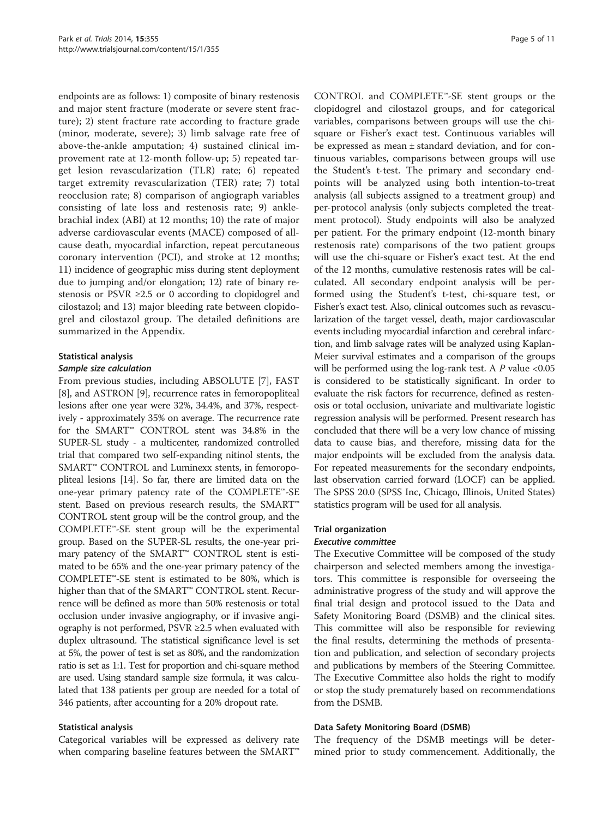endpoints are as follows: 1) composite of binary restenosis and major stent fracture (moderate or severe stent fracture); 2) stent fracture rate according to fracture grade (minor, moderate, severe); 3) limb salvage rate free of above-the-ankle amputation; 4) sustained clinical improvement rate at 12-month follow-up; 5) repeated target lesion revascularization (TLR) rate; 6) repeated target extremity revascularization (TER) rate; 7) total reocclusion rate; 8) comparison of angiograph variables consisting of late loss and restenosis rate; 9) anklebrachial index (ABI) at 12 months; 10) the rate of major adverse cardiovascular events (MACE) composed of allcause death, myocardial infarction, repeat percutaneous coronary intervention (PCI), and stroke at 12 months; 11) incidence of geographic miss during stent deployment due to jumping and/or elongation; 12) rate of binary restenosis or PSVR  $\geq$ 2.5 or 0 according to clopidogrel and cilostazol; and 13) major bleeding rate between clopidogrel and cilostazol group. The detailed definitions are summarized in the [Appendix](#page-7-0).

## Statistical analysis

## Sample size calculation

From previous studies, including ABSOLUTE [\[7](#page-9-0)], FAST [[8\]](#page-9-0), and ASTRON [[9\]](#page-9-0), recurrence rates in femoropopliteal lesions after one year were 32%, 34.4%, and 37%, respectively - approximately 35% on average. The recurrence rate for the SMART™ CONTROL stent was 34.8% in the SUPER-SL study - a multicenter, randomized controlled trial that compared two self-expanding nitinol stents, the SMART™ CONTROL and Luminexx stents, in femoropopliteal lesions [\[14](#page-9-0)]. So far, there are limited data on the one-year primary patency rate of the COMPLETE™-SE stent. Based on previous research results, the SMART™ CONTROL stent group will be the control group, and the COMPLETE™-SE stent group will be the experimental group. Based on the SUPER-SL results, the one-year primary patency of the SMART™ CONTROL stent is estimated to be 65% and the one-year primary patency of the COMPLETE™-SE stent is estimated to be 80%, which is higher than that of the SMART™ CONTROL stent. Recurrence will be defined as more than 50% restenosis or total occlusion under invasive angiography, or if invasive angiography is not performed,  $PSVR \geq 2.5$  when evaluated with duplex ultrasound. The statistical significance level is set at 5%, the power of test is set as 80%, and the randomization ratio is set as 1:1. Test for proportion and chi-square method are used. Using standard sample size formula, it was calculated that 138 patients per group are needed for a total of 346 patients, after accounting for a 20% dropout rate.

## Statistical analysis

Categorical variables will be expressed as delivery rate when comparing baseline features between the SMART<sup>™</sup>

CONTROL and COMPLETE™-SE stent groups or the clopidogrel and cilostazol groups, and for categorical variables, comparisons between groups will use the chisquare or Fisher's exact test. Continuous variables will be expressed as mean ± standard deviation, and for continuous variables, comparisons between groups will use the Student's t-test. The primary and secondary endpoints will be analyzed using both intention-to-treat analysis (all subjects assigned to a treatment group) and per-protocol analysis (only subjects completed the treatment protocol). Study endpoints will also be analyzed per patient. For the primary endpoint (12-month binary restenosis rate) comparisons of the two patient groups will use the chi-square or Fisher's exact test. At the end of the 12 months, cumulative restenosis rates will be calculated. All secondary endpoint analysis will be performed using the Student's t-test, chi-square test, or Fisher's exact test. Also, clinical outcomes such as revascularization of the target vessel, death, major cardiovascular events including myocardial infarction and cerebral infarction, and limb salvage rates will be analyzed using Kaplan-Meier survival estimates and a comparison of the groups will be performed using the log-rank test. A  $P$  value <0.05 is considered to be statistically significant. In order to evaluate the risk factors for recurrence, defined as restenosis or total occlusion, univariate and multivariate logistic regression analysis will be performed. Present research has concluded that there will be a very low chance of missing data to cause bias, and therefore, missing data for the major endpoints will be excluded from the analysis data. For repeated measurements for the secondary endpoints, last observation carried forward (LOCF) can be applied. The SPSS 20.0 (SPSS Inc, Chicago, Illinois, United States) statistics program will be used for all analysis.

## Trial organization

## Executive committee

The Executive Committee will be composed of the study chairperson and selected members among the investigators. This committee is responsible for overseeing the administrative progress of the study and will approve the final trial design and protocol issued to the Data and Safety Monitoring Board (DSMB) and the clinical sites. This committee will also be responsible for reviewing the final results, determining the methods of presentation and publication, and selection of secondary projects and publications by members of the Steering Committee. The Executive Committee also holds the right to modify or stop the study prematurely based on recommendations from the DSMB.

## Data Safety Monitoring Board (DSMB)

The frequency of the DSMB meetings will be determined prior to study commencement. Additionally, the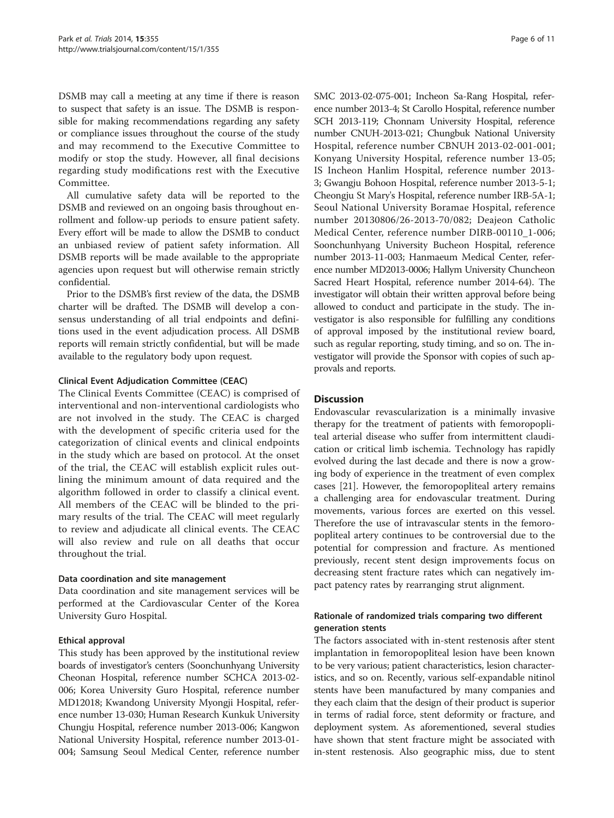DSMB may call a meeting at any time if there is reason to suspect that safety is an issue. The DSMB is responsible for making recommendations regarding any safety or compliance issues throughout the course of the study and may recommend to the Executive Committee to modify or stop the study. However, all final decisions regarding study modifications rest with the Executive Committee.

All cumulative safety data will be reported to the DSMB and reviewed on an ongoing basis throughout enrollment and follow-up periods to ensure patient safety. Every effort will be made to allow the DSMB to conduct an unbiased review of patient safety information. All DSMB reports will be made available to the appropriate agencies upon request but will otherwise remain strictly confidential.

Prior to the DSMB's first review of the data, the DSMB charter will be drafted. The DSMB will develop a consensus understanding of all trial endpoints and definitions used in the event adjudication process. All DSMB reports will remain strictly confidential, but will be made available to the regulatory body upon request.

## Clinical Event Adjudication Committee (CEAC)

The Clinical Events Committee (CEAC) is comprised of interventional and non-interventional cardiologists who are not involved in the study. The CEAC is charged with the development of specific criteria used for the categorization of clinical events and clinical endpoints in the study which are based on protocol. At the onset of the trial, the CEAC will establish explicit rules outlining the minimum amount of data required and the algorithm followed in order to classify a clinical event. All members of the CEAC will be blinded to the primary results of the trial. The CEAC will meet regularly to review and adjudicate all clinical events. The CEAC will also review and rule on all deaths that occur throughout the trial.

## Data coordination and site management

Data coordination and site management services will be performed at the Cardiovascular Center of the Korea University Guro Hospital.

## Ethical approval

This study has been approved by the institutional review boards of investigator's centers (Soonchunhyang University Cheonan Hospital, reference number SCHCA 2013-02- 006; Korea University Guro Hospital, reference number MD12018; Kwandong University Myongji Hospital, reference number 13-030; Human Research Kunkuk University Chungju Hospital, reference number 2013-006; Kangwon National University Hospital, reference number 2013-01- 004; Samsung Seoul Medical Center, reference number SMC 2013-02-075-001; Incheon Sa-Rang Hospital, reference number 2013-4; St Carollo Hospital, reference number SCH 2013-119; Chonnam University Hospital, reference number CNUH-2013-021; Chungbuk National University Hospital, reference number CBNUH 2013-02-001-001; Konyang University Hospital, reference number 13-05; IS Incheon Hanlim Hospital, reference number 2013- 3; Gwangju Bohoon Hospital, reference number 2013-5-1; Cheongju St Mary's Hospital, reference number IRB-5A-1; Seoul National University Boramae Hospital, reference number 20130806/26-2013-70/082; Deajeon Catholic Medical Center, reference number DIRB-00110\_1-006; Soonchunhyang University Bucheon Hospital, reference number 2013-11-003; Hanmaeum Medical Center, reference number MD2013-0006; Hallym University Chuncheon Sacred Heart Hospital, reference number 2014-64). The investigator will obtain their written approval before being allowed to conduct and participate in the study. The investigator is also responsible for fulfilling any conditions of approval imposed by the institutional review board, such as regular reporting, study timing, and so on. The investigator will provide the Sponsor with copies of such approvals and reports.

## **Discussion**

Endovascular revascularization is a minimally invasive therapy for the treatment of patients with femoropopliteal arterial disease who suffer from intermittent claudication or critical limb ischemia. Technology has rapidly evolved during the last decade and there is now a growing body of experience in the treatment of even complex cases [[21](#page-10-0)]. However, the femoropopliteal artery remains a challenging area for endovascular treatment. During movements, various forces are exerted on this vessel. Therefore the use of intravascular stents in the femoropopliteal artery continues to be controversial due to the potential for compression and fracture. As mentioned previously, recent stent design improvements focus on decreasing stent fracture rates which can negatively impact patency rates by rearranging strut alignment.

## Rationale of randomized trials comparing two different generation stents

The factors associated with in-stent restenosis after stent implantation in femoropopliteal lesion have been known to be very various; patient characteristics, lesion characteristics, and so on. Recently, various self-expandable nitinol stents have been manufactured by many companies and they each claim that the design of their product is superior in terms of radial force, stent deformity or fracture, and deployment system. As aforementioned, several studies have shown that stent fracture might be associated with in-stent restenosis. Also geographic miss, due to stent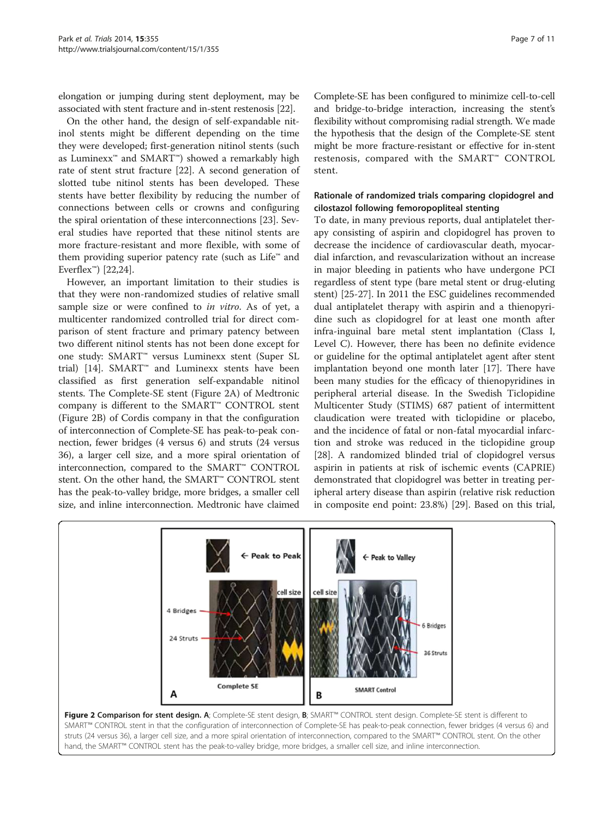elongation or jumping during stent deployment, may be associated with stent fracture and in-stent restenosis [[22](#page-10-0)].

On the other hand, the design of self-expandable nitinol stents might be different depending on the time they were developed; first-generation nitinol stents (such as Luminexx™ and SMART™) showed a remarkably high rate of stent strut fracture [[22](#page-10-0)]. A second generation of slotted tube nitinol stents has been developed. These stents have better flexibility by reducing the number of connections between cells or crowns and configuring the spiral orientation of these interconnections [[23\]](#page-10-0). Several studies have reported that these nitinol stents are more fracture-resistant and more flexible, with some of them providing superior patency rate (such as Life™ and Everflex<sup>™</sup> $[22,24]$ .

However, an important limitation to their studies is that they were non-randomized studies of relative small sample size or were confined to in vitro. As of yet, a multicenter randomized controlled trial for direct comparison of stent fracture and primary patency between two different nitinol stents has not been done except for one study: SMART™ versus Luminexx stent (Super SL trial) [\[14\]](#page-9-0). SMART™ and Luminexx stents have been classified as first generation self-expandable nitinol stents. The Complete-SE stent (Figure 2A) of Medtronic company is different to the SMART™ CONTROL stent (Figure 2B) of Cordis company in that the configuration of interconnection of Complete-SE has peak-to-peak connection, fewer bridges (4 versus 6) and struts (24 versus 36), a larger cell size, and a more spiral orientation of interconnection, compared to the SMART™ CONTROL stent. On the other hand, the SMART™ CONTROL stent has the peak-to-valley bridge, more bridges, a smaller cell size, and inline interconnection. Medtronic have claimed

Complete-SE has been configured to minimize cell-to-cell and bridge-to-bridge interaction, increasing the stent's flexibility without compromising radial strength. We made the hypothesis that the design of the Complete-SE stent might be more fracture-resistant or effective for in-stent restenosis, compared with the SMART™ CONTROL stent.

## Rationale of randomized trials comparing clopidogrel and cilostazol following femoropopliteal stenting

To date, in many previous reports, dual antiplatelet therapy consisting of aspirin and clopidogrel has proven to decrease the incidence of cardiovascular death, myocardial infarction, and revascularization without an increase in major bleeding in patients who have undergone PCI regardless of stent type (bare metal stent or drug-eluting stent) [[25-27](#page-10-0)]. In 2011 the ESC guidelines recommended dual antiplatelet therapy with aspirin and a thienopyridine such as clopidogrel for at least one month after infra-inguinal bare metal stent implantation (Class I, Level C). However, there has been no definite evidence or guideline for the optimal antiplatelet agent after stent implantation beyond one month later [[17\]](#page-9-0). There have been many studies for the efficacy of thienopyridines in peripheral arterial disease. In the Swedish Ticlopidine Multicenter Study (STIMS) 687 patient of intermittent claudication were treated with ticlopidine or placebo, and the incidence of fatal or non-fatal myocardial infarction and stroke was reduced in the ticlopidine group [[28\]](#page-10-0). A randomized blinded trial of clopidogrel versus aspirin in patients at risk of ischemic events (CAPRIE) demonstrated that clopidogrel was better in treating peripheral artery disease than aspirin (relative risk reduction in composite end point: 23.8%) [\[29](#page-10-0)]. Based on this trial,



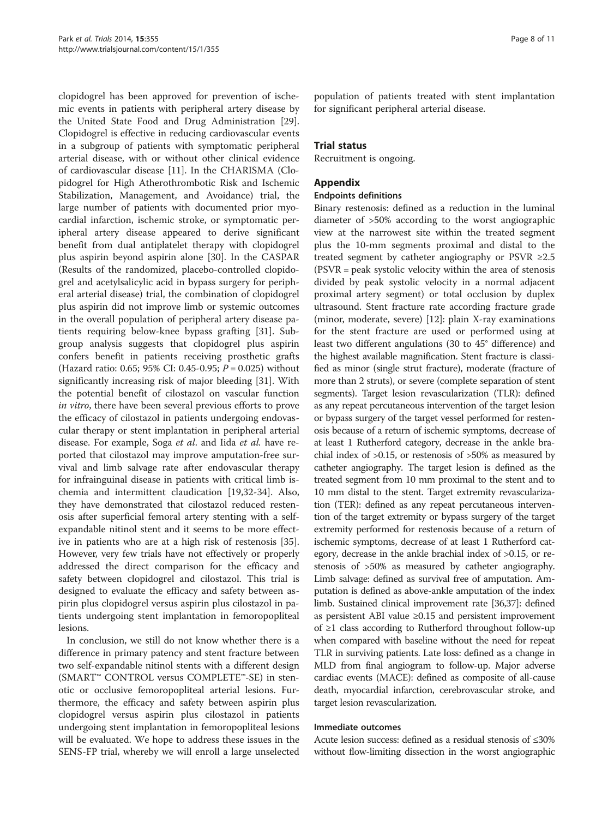<span id="page-7-0"></span>clopidogrel has been approved for prevention of ischemic events in patients with peripheral artery disease by the United State Food and Drug Administration [\[29](#page-10-0)]. Clopidogrel is effective in reducing cardiovascular events in a subgroup of patients with symptomatic peripheral arterial disease, with or without other clinical evidence of cardiovascular disease [\[11\]](#page-9-0). In the CHARISMA (Clopidogrel for High Atherothrombotic Risk and Ischemic Stabilization, Management, and Avoidance) trial, the large number of patients with documented prior myocardial infarction, ischemic stroke, or symptomatic peripheral artery disease appeared to derive significant benefit from dual antiplatelet therapy with clopidogrel plus aspirin beyond aspirin alone [\[30](#page-10-0)]. In the CASPAR (Results of the randomized, placebo-controlled clopidogrel and acetylsalicylic acid in bypass surgery for peripheral arterial disease) trial, the combination of clopidogrel plus aspirin did not improve limb or systemic outcomes in the overall population of peripheral artery disease patients requiring below-knee bypass grafting [\[31\]](#page-10-0). Subgroup analysis suggests that clopidogrel plus aspirin confers benefit in patients receiving prosthetic grafts (Hazard ratio: 0.65; 95% CI: 0.45-0.95;  $P = 0.025$ ) without significantly increasing risk of major bleeding [\[31\]](#page-10-0). With the potential benefit of cilostazol on vascular function in vitro, there have been several previous efforts to prove the efficacy of cilostazol in patients undergoing endovascular therapy or stent implantation in peripheral arterial disease. For example, Soga et al. and Iida et al. have reported that cilostazol may improve amputation-free survival and limb salvage rate after endovascular therapy for infrainguinal disease in patients with critical limb ischemia and intermittent claudication [\[19,32-34](#page-10-0)]. Also, they have demonstrated that cilostazol reduced restenosis after superficial femoral artery stenting with a selfexpandable nitinol stent and it seems to be more effective in patients who are at a high risk of restenosis [\[35](#page-10-0)]. However, very few trials have not effectively or properly addressed the direct comparison for the efficacy and safety between clopidogrel and cilostazol. This trial is designed to evaluate the efficacy and safety between aspirin plus clopidogrel versus aspirin plus cilostazol in patients undergoing stent implantation in femoropopliteal lesions.

In conclusion, we still do not know whether there is a difference in primary patency and stent fracture between two self-expandable nitinol stents with a different design (SMART™ CONTROL versus COMPLETE™-SE) in stenotic or occlusive femoropopliteal arterial lesions. Furthermore, the efficacy and safety between aspirin plus clopidogrel versus aspirin plus cilostazol in patients undergoing stent implantation in femoropopliteal lesions will be evaluated. We hope to address these issues in the SENS-FP trial, whereby we will enroll a large unselected

population of patients treated with stent implantation for significant peripheral arterial disease.

## Trial status

Recruitment is ongoing.

## Appendix

## Endpoints definitions

Binary restenosis: defined as a reduction in the luminal diameter of >50% according to the worst angiographic view at the narrowest site within the treated segment plus the 10-mm segments proximal and distal to the treated segment by catheter angiography or PSVR  $\geq 2.5$ (PSVR = peak systolic velocity within the area of stenosis divided by peak systolic velocity in a normal adjacent proximal artery segment) or total occlusion by duplex ultrasound. Stent fracture rate according fracture grade (minor, moderate, severe) [[12](#page-9-0)]: plain X-ray examinations for the stent fracture are used or performed using at least two different angulations (30 to 45° difference) and the highest available magnification. Stent fracture is classified as minor (single strut fracture), moderate (fracture of more than 2 struts), or severe (complete separation of stent segments). Target lesion revascularization (TLR): defined as any repeat percutaneous intervention of the target lesion or bypass surgery of the target vessel performed for restenosis because of a return of ischemic symptoms, decrease of at least 1 Rutherford category, decrease in the ankle brachial index of >0.15, or restenosis of >50% as measured by catheter angiography. The target lesion is defined as the treated segment from 10 mm proximal to the stent and to 10 mm distal to the stent. Target extremity revascularization (TER): defined as any repeat percutaneous intervention of the target extremity or bypass surgery of the target extremity performed for restenosis because of a return of ischemic symptoms, decrease of at least 1 Rutherford category, decrease in the ankle brachial index of >0.15, or restenosis of >50% as measured by catheter angiography. Limb salvage: defined as survival free of amputation. Amputation is defined as above-ankle amputation of the index limb. Sustained clinical improvement rate [[36,37\]](#page-10-0): defined as persistent ABI value ≥0.15 and persistent improvement of ≥1 class according to Rutherford throughout follow-up when compared with baseline without the need for repeat TLR in surviving patients. Late loss: defined as a change in MLD from final angiogram to follow-up. Major adverse cardiac events (MACE): defined as composite of all-cause death, myocardial infarction, cerebrovascular stroke, and target lesion revascularization.

## Immediate outcomes

Acute lesion success: defined as a residual stenosis of ≤30% without flow-limiting dissection in the worst angiographic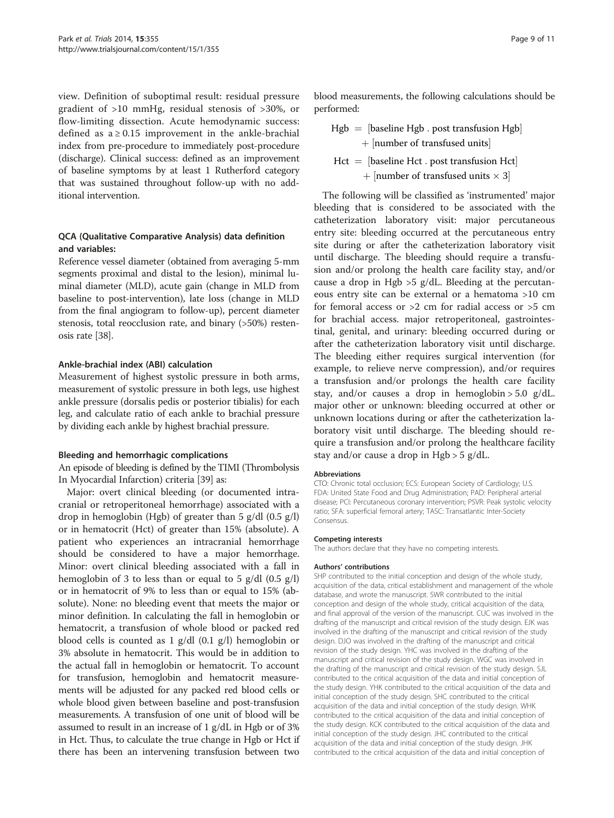view. Definition of suboptimal result: residual pressure gradient of >10 mmHg, residual stenosis of >30%, or flow-limiting dissection. Acute hemodynamic success: defined as  $a \ge 0.15$  improvement in the ankle-brachial index from pre-procedure to immediately post-procedure (discharge). Clinical success: defined as an improvement of baseline symptoms by at least 1 Rutherford category that was sustained throughout follow-up with no additional intervention.

## QCA (Qualitative Comparative Analysis) data definition and variables:

Reference vessel diameter (obtained from averaging 5-mm segments proximal and distal to the lesion), minimal luminal diameter (MLD), acute gain (change in MLD from baseline to post-intervention), late loss (change in MLD from the final angiogram to follow-up), percent diameter stenosis, total reocclusion rate, and binary (>50%) restenosis rate [\[38\]](#page-10-0).

## Ankle-brachial index (ABI) calculation

Measurement of highest systolic pressure in both arms, measurement of systolic pressure in both legs, use highest ankle pressure (dorsalis pedis or posterior tibialis) for each leg, and calculate ratio of each ankle to brachial pressure by dividing each ankle by highest brachial pressure.

## Bleeding and hemorrhagic complications

An episode of bleeding is defined by the TIMI (Thrombolysis In Myocardial Infarction) criteria [\[39\]](#page-10-0) as:

Major: overt clinical bleeding (or documented intracranial or retroperitoneal hemorrhage) associated with a drop in hemoglobin (Hgb) of greater than 5 g/dl (0.5 g/l) or in hematocrit (Hct) of greater than 15% (absolute). A patient who experiences an intracranial hemorrhage should be considered to have a major hemorrhage. Minor: overt clinical bleeding associated with a fall in hemoglobin of 3 to less than or equal to 5 g/dl (0.5 g/l) or in hematocrit of 9% to less than or equal to 15% (absolute). None: no bleeding event that meets the major or minor definition. In calculating the fall in hemoglobin or hematocrit, a transfusion of whole blood or packed red blood cells is counted as 1 g/dl (0.1 g/l) hemoglobin or 3% absolute in hematocrit. This would be in addition to the actual fall in hemoglobin or hematocrit. To account for transfusion, hemoglobin and hematocrit measurements will be adjusted for any packed red blood cells or whole blood given between baseline and post-transfusion measurements. A transfusion of one unit of blood will be assumed to result in an increase of 1 g/dL in Hgb or of 3% in Hct. Thus, to calculate the true change in Hgb or Hct if there has been an intervening transfusion between two

blood measurements, the following calculations should be performed:

- $Hgb = [baseline Hgb \cdot post \, transition Hgb]$  $+$  [number of transfused units]
- $Hct = [baseline Hct \nvert post transformation Hct]$  $+$  [number of transfused units  $\times$  3]

The following will be classified as 'instrumented' major bleeding that is considered to be associated with the catheterization laboratory visit: major percutaneous entry site: bleeding occurred at the percutaneous entry site during or after the catheterization laboratory visit until discharge. The bleeding should require a transfusion and/or prolong the health care facility stay, and/or cause a drop in Hgb >5 g/dL. Bleeding at the percutaneous entry site can be external or a hematoma >10 cm for femoral access or >2 cm for radial access or >5 cm for brachial access. major retroperitoneal, gastrointestinal, genital, and urinary: bleeding occurred during or after the catheterization laboratory visit until discharge. The bleeding either requires surgical intervention (for example, to relieve nerve compression), and/or requires a transfusion and/or prolongs the health care facility stay, and/or causes a drop in hemoglobin > 5.0 g/dL. major other or unknown: bleeding occurred at other or unknown locations during or after the catheterization laboratory visit until discharge. The bleeding should require a transfusion and/or prolong the healthcare facility stay and/or cause a drop in  $Hgb > 5 g/dL$ .

## Abbreviations

CTO: Chronic total occlusion; ECS: European Society of Cardiology; U.S. FDA: United State Food and Drug Administration; PAD: Peripheral arterial disease; PCI: Percutaneous coronary intervention; PSVR: Peak systolic velocity ratio; SFA: superficial femoral artery; TASC: Transatlantic Inter-Society Consensus.

#### Competing interests

The authors declare that they have no competing interests.

#### Authors' contributions

SHP contributed to the initial conception and design of the whole study, acquisition of the data, critical establishment and management of the whole database, and wrote the manuscript. SWR contributed to the initial conception and design of the whole study, critical acquisition of the data, and final approval of the version of the manuscript. CUC was involved in the drafting of the manuscript and critical revision of the study design. EJK was involved in the drafting of the manuscript and critical revision of the study design. DJO was involved in the drafting of the manuscript and critical revision of the study design. YHC was involved in the drafting of the manuscript and critical revision of the study design. WGC was involved in the drafting of the manuscript and critical revision of the study design. SJL contributed to the critical acquisition of the data and initial conception of the study design. YHK contributed to the critical acquisition of the data and initial conception of the study design. SHC contributed to the critical acquisition of the data and initial conception of the study design. WHK contributed to the critical acquisition of the data and initial conception of the study design. KCK contributed to the critical acquisition of the data and initial conception of the study design. JHC contributed to the critical acquisition of the data and initial conception of the study design. JHK contributed to the critical acquisition of the data and initial conception of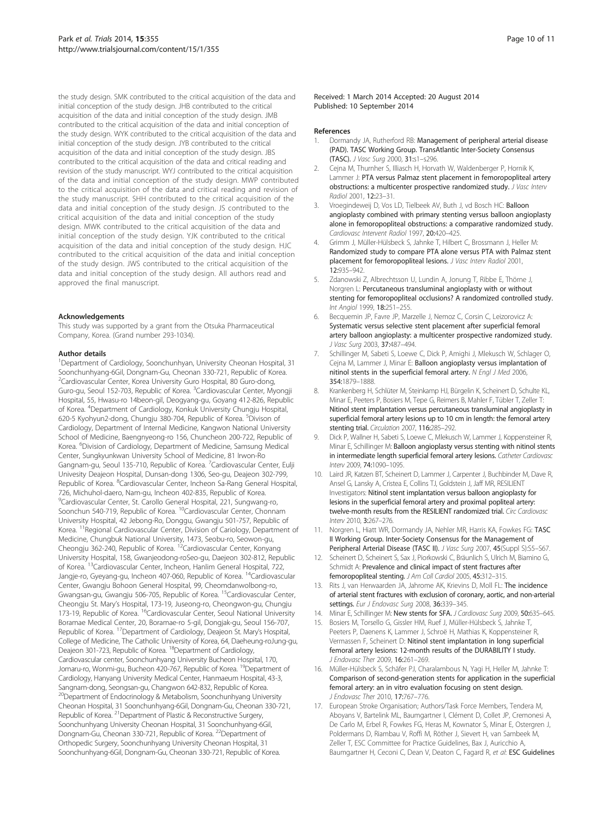<span id="page-9-0"></span>the study design. SMK contributed to the critical acquisition of the data and initial conception of the study design. JHB contributed to the critical acquisition of the data and initial conception of the study design. JMB contributed to the critical acquisition of the data and initial conception of the study design. WYK contributed to the critical acquisition of the data and initial conception of the study design. JYB contributed to the critical acquisition of the data and initial conception of the study design. JBS contributed to the critical acquisition of the data and critical reading and revision of the study manuscript. WYJ contributed to the critical acquisition of the data and initial conception of the study design. MWP contributed to the critical acquisition of the data and critical reading and revision of the study manuscript. SHH contributed to the critical acquisition of the data and initial conception of the study design. JS contributed to the critical acquisition of the data and initial conception of the study design. MWK contributed to the critical acquisition of the data and initial conception of the study design. YJK contributed to the critical acquisition of the data and initial conception of the study design. HJC contributed to the critical acquisition of the data and initial conception of the study design. JWS contributed to the critical acquisition of the data and initial conception of the study design. All authors read and approved the final manuscript.

#### Acknowledgements

This study was supported by a grant from the Otsuka Pharmaceutical Company, Korea. (Grand number 293-1034).

#### Author details

<sup>1</sup>Department of Cardiology, Soonchunhyan, University Cheonan Hospital, 31 Soonchunhyang-6Gil, Dongnam-Gu, Cheonan 330-721, Republic of Korea. <sup>2</sup>Cardiovascular Center, Korea University Guro Hospital, 80 Guro-dong, Guro-gu, Seoul 152-703, Republic of Korea. <sup>3</sup>Cardiovascular Center, Myongji Hospital, 55, Hwasu-ro 14beon-gil, Deogyang-gu, Goyang 412-826, Republic of Korea. <sup>4</sup> Department of Cardiology, Konkuk University Chungju Hospital, 620-5 Kyohyun2-dong, Chungju 380-704, Republic of Korea. <sup>5</sup>Divison of Cardiology, Department of Internal Medicine, Kangwon National University School of Medicine, Baengnyeong-ro 156, Chuncheon 200-722, Republic of Korea. <sup>6</sup>Division of Cardiology, Department of Medicine, Samsung Medical Center, Sungkyunkwan University School of Medicine, 81 Irwon-Ro Gangnam-gu, Seoul 135-710, Republic of Korea. <sup>7</sup>Cardiovascular Center, Eulji Univesity Deajeon Hospital, Dunsan-dong 1306, Seo-gu, Deajeon 302-799, Republic of Korea. <sup>8</sup>Cardiovascular Center, Incheon Sa-Rang General Hospital, 726, Michuhol-daero, Nam-gu, Incheon 402-835, Republic of Korea. <sup>9</sup>Cardiovascular Center, St. Carollo General Hospital, 221, Sungwang-ro, Soonchun 540-719, Republic of Korea. <sup>10</sup>Cardiovascular Center, Chonnam University Hospital, 42 Jebong-Ro, Donggu, Gwangju 501-757, Republic of Korea. 11Regional Cardiovascular Center, Division of Cariology, Department of Medicine, Chungbuk National University, 1473, Seobu-ro, Seowon-gu,<br>Cheongju 362-240, Republic of Korea. <sup>12</sup>Cardiovascular Center, Konyang University Hospital, 158, Gwanjeodong-roSeo-gu, Daejeon 302-812, Republic of Korea. 13Cardiovascular Center, Incheon, Hanlim General Hospital, 722, Jangje-ro, Gyeyang-gu, Incheon 407-060, Republic of Korea. <sup>14</sup>Cardiovascular Center, Gwangju Bohoon General Hospital, 99, Cheomdanwolbong-ro, Gwangsan-gu, Gwangju 506-705, Republic of Korea. <sup>15</sup>Cardiovascular Center, Cheongju St. Mary's Hospital, 173-19, Juseong-ro, Cheongwon-gu, Chungju 173-19, Republic of Korea. <sup>16</sup>Cardiovascular Center, Seoul National University Boramae Medical Center, 20, Boramae-ro 5-gil, Dongjak-gu, Seoul 156-707, Republic of Korea. 17Department of Cardiology, Deajeon St. Mary's Hospital, College of Medicine, The Catholic University of Korea, 64, Daeheung-roJung-gu, Deajeon 301-723, Republic of Korea. <sup>18</sup>Department of Cardiology, Cardiovascular center, Soonchunhyang University Bucheon Hospital, 170, Jomaru-ro, Wonmi-gu, Bucheon 420-767, Republic of Korea. <sup>19</sup>Department of Cardiology, Hanyang University Medical Center, Hanmaeum Hospital, 43-3, Sangnam-dong, Seongsan-gu, Changwon 642-832, Republic of Korea. <sup>20</sup>Department of Endocrinology & Metabolism, Soonchunhyang University Cheonan Hospital, 31 Soonchunhyang-6Gil, Dongnam-Gu, Cheonan 330-721, Republic of Korea. <sup>21</sup> Department of Plastic & Reconstructive Surgery, Soonchunhyang University Cheonan Hospital, 31 Soonchunhyang-6Gil, Dongnam-Gu, Cheonan 330-721, Republic of Korea. <sup>22</sup>Department of Orthopedic Surgery, Soonchunhyang University Cheonan Hospital, 31 Soonchunhyang-6Gil, Dongnam-Gu, Cheonan 330-721, Republic of Korea.

Received: 1 March 2014 Accepted: 20 August 2014 Published: 10 September 2014

#### References

- 1. Dormandy JA, Rutherford RB: Management of peripheral arterial disease (PAD). TASC Working Group. TransAtlantic Inter-Society Consensus (TASC). J Vasc Surg 2000, 31:s1–s296.
- 2. Cejna M, Thurnher S, Illiasch H, Horvath W, Waldenberger P, Hornik K, Lammer J: PTA versus Palmaz stent placement in femoropopliteal artery obstructions: a multicenter prospective randomized study. J Vasc Interv Radiol 2001, 12:23–31.
- 3. Vroegindeweij D, Vos LD, Tielbeek AV, Buth J, vd Bosch HC: Balloon angioplasty combined with primary stenting versus balloon angioplasty alone in femoropopliteal obstructions: a comparative randomized study. Cardiovasc Intervent Radiol 1997, 20:420–425.
- 4. Grimm J, Müller-Hülsbeck S, Jahnke T, Hilbert C, Brossmann J, Heller M: Randomized study to compare PTA alone versus PTA with Palmaz stent placement for femoropopliteal lesions. J Vasc Interv Radiol 2001, 12:935–942.
- 5. Zdanowski Z, Albrechtsson U, Lundin A, Jonung T, Ribbe E, Thörne J, Norgren L: Percutaneous transluminal angioplasty with or without stenting for femoropopliteal occlusions? A randomized controlled study. Int Angiol 1999, 18:251–255.
- 6. Becquemin JP, Favre JP, Marzelle J, Nemoz C, Corsin C, Leizorovicz A: Systematic versus selective stent placement after superficial femoral artery balloon angioplasty: a multicenter prospective randomized study. J Vasc Surg 2003, 37:487–494.
- 7. Schillinger M, Sabeti S, Loewe C, Dick P, Amighi J, Mlekusch W, Schlager O, Cejna M, Lammer J, Minar E: Balloon angioplasty versus implantation of nitinol stents in the superficial femoral artery. N Engl J Med 2006, 354:1879–1888.
- 8. Krankenberg H, Schlüter M, Steinkamp HJ, Bürgelin K, Scheinert D, Schulte KL, Minar E, Peeters P, Bosiers M, Tepe G, Reimers B, Mahler F, Tübler T, Zeller T: Nitinol stent implantation versus percutaneous transluminal angioplasty in superficial femoral artery lesions up to 10 cm in length: the femoral artery stenting trial. Circulation 2007, 116:285–292.
- 9. Dick P, Wallner H, Sabeti S, Loewe C, Mlekusch W, Lammer J, Koppensteiner R, Minar E, Schillinger M: Balloon angioplasty versus stenting with nitinol stents in intermediate length superficial femoral artery lesions. Catheter Cardiovasc Interv 2009, 74:1090–1095.
- 10. Laird JR, Katzen BT, Scheinert D, Lammer J, Carpenter J, Buchbinder M, Dave R, Ansel G, Lansky A, Cristea E, Collins TJ, Goldstein J, Jaff MR, RESILIENT Investigators: Nitinol stent implantation versus balloon angioplasty for lesions in the superficial femoral artery and proximal popliteal artery: twelve-month results from the RESILIENT randomized trial. Circ Cardiovasc Interv 2010, 3:267–276.
- 11. Norgren L, Hiatt WR, Dormandy JA, Nehler MR, Harris KA, Fowkes FG: TASC II Working Group. Inter-Society Consensus for the Management of Peripheral Arterial Disease (TASC II). J Vasc Surg 2007, 45(Suppl S):S5-S67.
- 12. Scheinert D, Scheinert S, Sax J, Piorkowski C, Bräunlich S, Ulrich M, Biamino G, Schmidt A: Prevalence and clinical impact of stent fractures after femoropopliteal stenting. J Am Coll Cardiol 2005, 45:312–315.
- 13. Rits J, van Herwaarden JA, Jahrome AK, Krievins D, Moll FL: The incidence of arterial stent fractures with exclusion of coronary, aortic, and non-arterial settings. Eur J Endovasc Surg 2008, 36:339-345.
- 14. Minar E, Schillinger M: New stents for SFA. J Cardiovasc Surg 2009, 50:635-645.
- 15. Bosiers M, Torsello G, Gissler HM, Ruef J, Müller-Hülsbeck S, Jahnke T, Peeters P, Daenens K, Lammer J, Schroë H, Mathias K, Koppensteiner R, Vermassen F, Scheinert D: Nitinol stent implantation in long superficial femoral artery lesions: 12-month results of the DURABILITY I study. J Endovasc Ther 2009, 16:261-269.
- 16. Müller-Hülsbeck S, Schäfer PJ, Charalambous N, Yagi H, Heller M, Jahnke T: Comparison of second-generation stents for application in the superficial femoral artery: an in vitro evaluation focusing on stent design. J Endovasc Ther 2010, 17:767–776.
- 17. European Stroke Organisation; Authors/Task Force Members, Tendera M, Aboyans V, Bartelink ML, Baumgartner I, Clément D, Collet JP, Cremonesi A, De Carlo M, Erbel R, Fowkes FG, Heras M, Kownator S, Minar E, Ostergren J, Poldermans D, Riambau V, Roffi M, Röther J, Sievert H, van Sambeek M, Zeller T, ESC Committee for Practice Guidelines, Bax J, Auricchio A, Baumgartner H, Ceconi C, Dean V, Deaton C, Fagard R, et al: ESC Guidelines